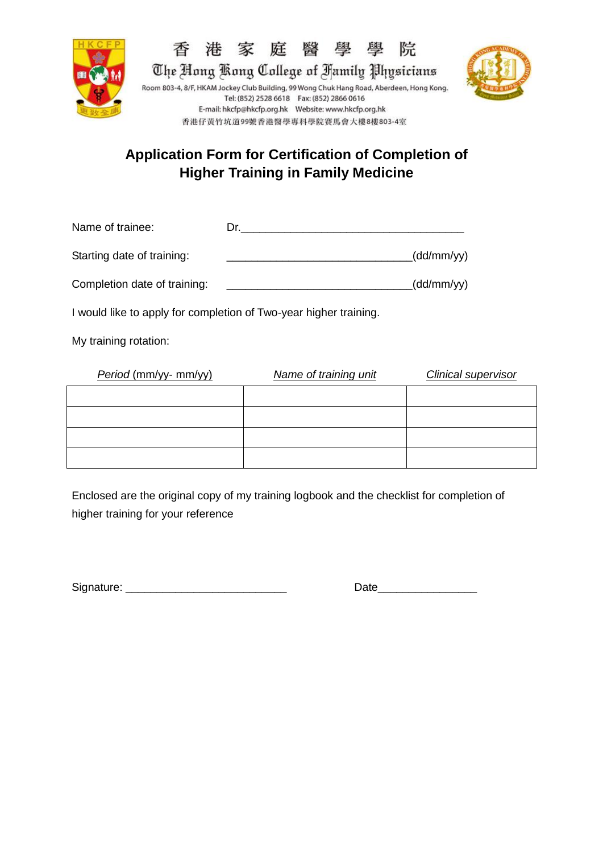





## **Application Form for Certification of Completion of Higher Training in Family Medicine**

| Name of trainee:             | Dr. |            |
|------------------------------|-----|------------|
| Starting date of training:   |     | (dd/mm/yy) |
| Completion date of training: |     | (dd/mm/yy) |

I would like to apply for completion of Two-year higher training.

My training rotation:

| Period (mm/yy- mm/yy) | Name of training unit | <b>Clinical supervisor</b> |
|-----------------------|-----------------------|----------------------------|
|                       |                       |                            |
|                       |                       |                            |
|                       |                       |                            |
|                       |                       |                            |

Enclosed are the original copy of my training logbook and the checklist for completion of higher training for your reference

Signature: \_\_\_\_\_\_\_\_\_\_\_\_\_\_\_\_\_\_\_\_\_\_\_\_\_\_ Date\_\_\_\_\_\_\_\_\_\_\_\_\_\_\_\_